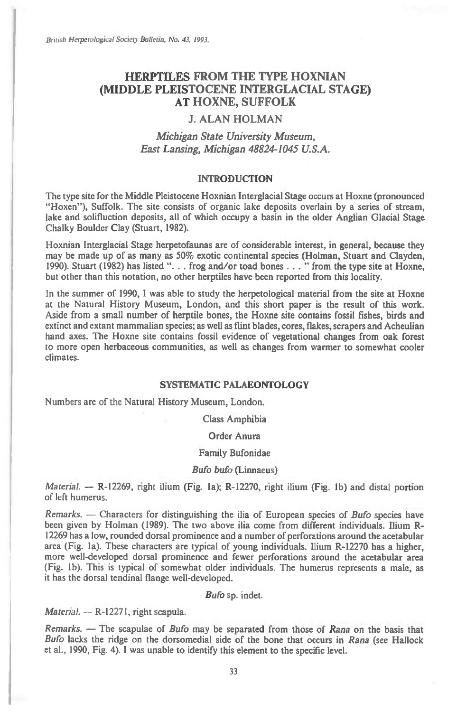British Herpetological Society Bulletin, No. 43, 1993.

# **HERPTILES FROM THE TYPE HOXNIAN (MIDDLE PLEISTOCENE INTERGLACIAL STAGE) AT HOXNE, SUFFOLK**

# **J. ALAN HOLMAN**

# *Michigan State University Museum, East Lansing, Michigan 48824-1045 U.S.A.*

## INTRODUCTION

The type site for the Middle Pleistocene Hoxnian Interglacial Stage occurs at Hoxne (pronounced "Hoxen"), Suffolk. The site consists of organic lake deposits overlain by a series of stream, lake and solifluction deposits, all of which occupy a basin in the older Anglian Glacial Stage Chalky Boulder Clay (Stuart, 1982).

Hoxnian Interglacial Stage herpetofaunas are of considerable interest, in general, because they may be made up of as many as 50% exotic continental species (Holman, Stuart and Clayden, 1990). Stuart (1982) has listed ". . . frog and/or toad bones . . . " from the type site at Hoxne, but other than this notation, no other herptiles have been reported from this locality.

In the summer of 1990, I was able to study the herpetological material from the site at Hoxne at the Natural History Museum, London, and this short paper is the result of this work. Aside from a small number of herptile bones, the Hoxne site contains fossil fishes, birds and extinct and extant mammalian species; as well as flint blades, cores, flakes, scrapers and Acheulian hand axes. The Hoxne site contains fossil evidence of vegetational changes from oak forest to more open herbaceous communities, as well as changes from warmer to somewhat cooler climates.

#### SYSTEMATIC PALAEONTOLOGY

Numbers are of the Natural History Museum, London.

Class Amphibia

## Order Anura

#### Family Bufonidae

## *Bufo bufo* (Linnaeus)

*Material. —* R-12269, right ilium (Fig. la); R-12270, right ilium (Fig. lb) and distal portion of left humerus.

*Remarks. —* Characters for distinguishing the ilia of European species of *Bufo* species have been given by Holman (1989). The two above ilia come from different individuals. Ilium R-12269 has a low, rounded dorsal prominence and a number of perforations around the acetabular area (Fig. la). These characters are typical of young individuals. Ilium R-12270 has a higher, more well-developed dorsal prominence and fewer perforations around the acetabular area (Fig. lb). This is typical of somewhat older individuals. The humerus represents a male, as it has the dorsal tendinal flange well-developed.

#### *Bufo* sp. indet.

*Material.* -- R-12271, right scapula.

*Remarks. —* The scapulae of *Bufo* may be separated from those of *Rana* on the basis that *Bufo* lacks the ridge on the dorsomedial side of the bone that occurs in *Rana* (see Hallock et al., 1990, Fig. 4). I was unable to identify this element to the specific level.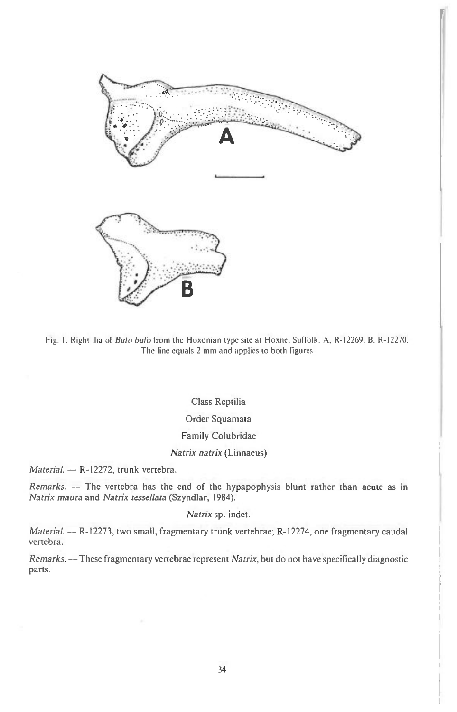

**I41** 

Fig. 1. Right ilia of *Bulo bufo* from the Hoxonian type site at Hoxne, Suffolk. A, R-12269: B. R-12270. The line equals 2 mm and applies to both figures

# Class Reptilia Order Squamata Family Colubridae

## Natrix natrix (Linnaeus)

Material. — R-12272, trunk vertebra.

Remarks. — The vertebra has the end of the hypapophysis blunt rather than acute as in Natrix maura and Natrix tessellata (Szyndlar, 1984).

# Natrix sp. indet.

Material. — R-12273, two small, fragmentary trunk vertebrae; R-12274, one fragmentary caudal vertebra.

Remarks. — These fragmentary vertebrae represent Natrix, but do not have specifically diagnostic parts.